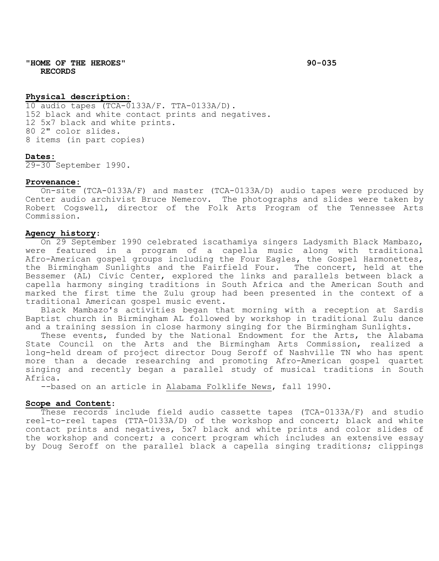**"HOME OF THE HEROES" 90-035 RECORDS**

# **Physical description:**

10 audio tapes (TCA-0133A/F. TTA-0133A/D). 152 black and white contact prints and negatives. 12 5x7 black and white prints. 80 2" color slides. 8 items (in part copies)

#### **Dates:**

29-30 September 1990.

### **Provenance:**

On-site (TCA-0133A/F) and master (TCA-0133A/D) audio tapes were produced by Center audio archivist Bruce Nemerov. The photographs and slides were taken by Robert Cogswell, director of the Folk Arts Program of the Tennessee Arts Commission.

### **Agency history**:

On 29 September 1990 celebrated iscathamiya singers Ladysmith Black Mambazo, were featured in a program of a capella music along with traditional Afro-American gospel groups including the Four Eagles, the Gospel Harmonettes, the Birmingham Sunlights and the Fairfield Four. The concert, held at the Bessemer (AL) Civic Center, explored the links and parallels between black a capella harmony singing traditions in South Africa and the American South and marked the first time the Zulu group had been presented in the context of a traditional American gospel music event.

Black Mambazo's activities began that morning with a reception at Sardis Baptist church in Birmingham AL followed by workshop in traditional Zulu dance and a training session in close harmony singing for the Birmingham Sunlights.

These events, funded by the National Endowment for the Arts, the Alabama State Council on the Arts and the Birmingham Arts Commission, realized a long-held dream of project director Doug Seroff of Nashville TN who has spent more than a decade researching and promoting Afro-American gospel quartet singing and recently began a parallel study of musical traditions in South

--based on an article in Alabama Folklife News, fall 1990.

#### **Scope and Content**:

These records include field audio cassette tapes (TCA-0133A/F) and studio reel-to-reel tapes (TTA-0133A/D) of the workshop and concert; black and white contact prints and negatives, 5x7 black and white prints and color slides of the workshop and concert; a concert program which includes an extensive essay by Doug Seroff on the parallel black a capella singing traditions; clippings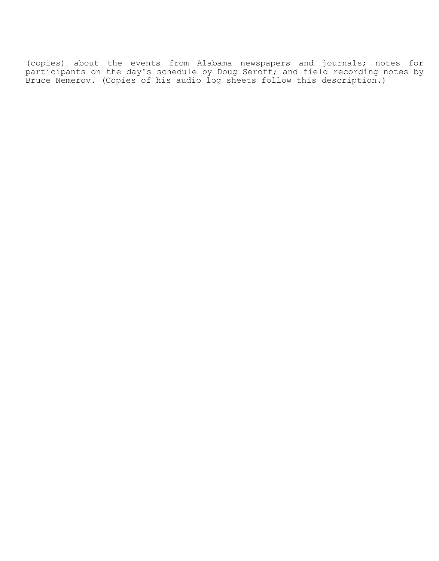(copies) about the events from Alabama newspapers and journals; notes for participants on the day's schedule by Doug Seroff; and field recording notes by Bruce Nemerov. (Copies of his audio log sheets follow this description.)